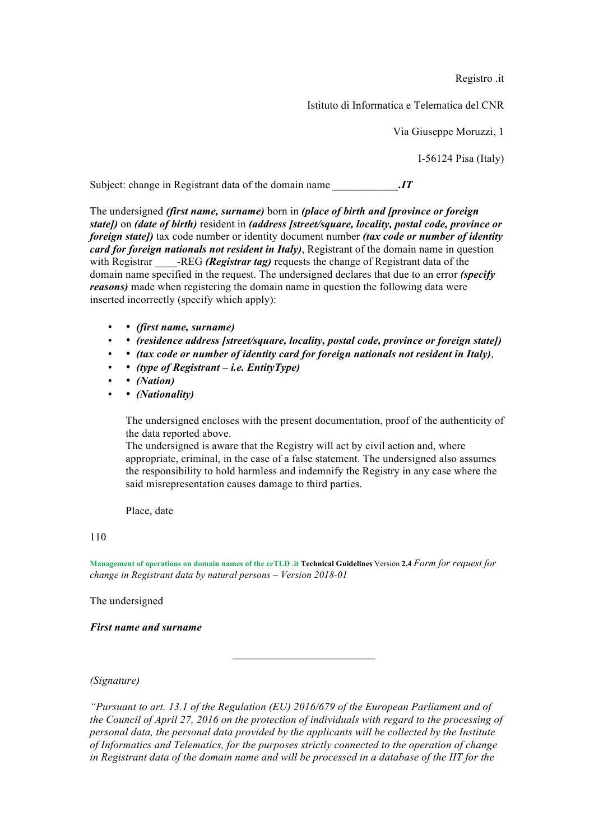Registro .it

Istituto di Informatica e Telematica del CNR

Via Giuseppe Moruzzi, 1

I-56124 Pisa (Italy)

Subject: change in Registrant data of the domain name *IT* 

The undersigned *(first name, surname)* born in *(place of birth and [province or foreign state])* on *(date of birth)* resident in *(address [street/square, locality, postal code, province or foreign state])* tax code number or identity document number *(tax code or number of identity card for foreign nationals not resident in Italy)*, Registrant of the domain name in question with Registrar -REG *(Registrar tag)* requests the change of Registrant data of the domain name specified in the request. The undersigned declares that due to an error *(specify reasons)* made when registering the domain name in question the following data were inserted incorrectly (specify which apply):

- • *(first name, surname)*
- *(residence address [street/square, locality, postal code, province or foreign state])*
- • *(tax code or number of identity card for foreign nationals not resident in Italy)*,
- • *(type of Registrant – i.e. EntityType)*
- *(Nation)*
- • *(Nationality)*

The undersigned encloses with the present documentation, proof of the authenticity of the data reported above.

The undersigned is aware that the Registry will act by civil action and, where appropriate, criminal, in the case of a false statement. The undersigned also assumes the responsibility to hold harmless and indemnify the Registry in any case where the said misrepresentation causes damage to third parties.

Place, date

## 110

**Management of operations on domain names of the ccTLD .it Technical Guidelines** Version **2.4** *Form for request for change in Registrant data by natural persons – Version 2018-01* 

The undersigned

*First name and surname* 

*(Signature)* 

*"Pursuant to art. 13.1 of the Regulation (EU) 2016/679 of the European Parliament and of the Council of April 27, 2016 on the protection of individuals with regard to the processing of personal data, the personal data provided by the applicants will be collected by the Institute of Informatics and Telematics, for the purposes strictly connected to the operation of change in Registrant data of the domain name and will be processed in a database of the IIT for the*